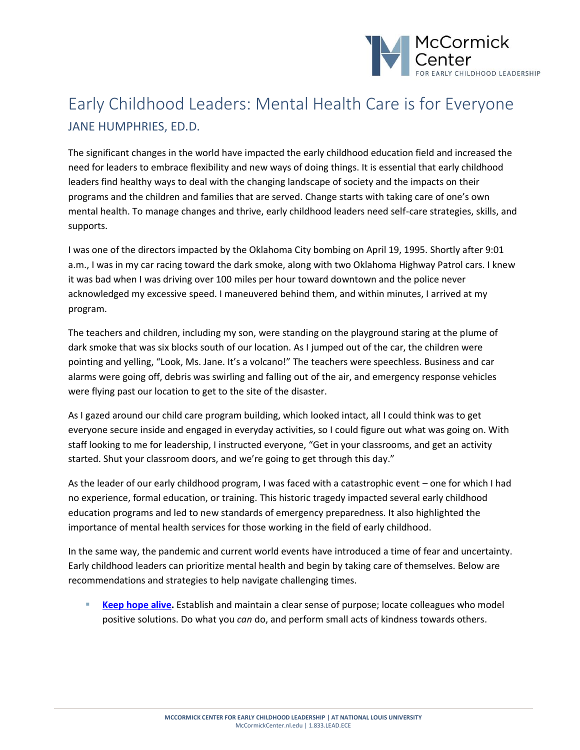

## Early Childhood Leaders: Mental Health Care is for Everyone JANE HUMPHRIES, ED.D.

The significant changes in the world have impacted the early childhood education field and increased the need for leaders to embrace flexibility and new ways of doing things. It is essential that early childhood leaders find healthy ways to deal with the changing landscape of society and the impacts on their programs and the children and families that are served. Change starts with taking care of one's own mental health. To manage changes and thrive, early childhood leaders need self-care strategies, skills, and supports.

I was one of the directors impacted by the Oklahoma City bombing on April 19, 1995. Shortly after 9:01 a.m., I was in my car racing toward the dark smoke, along with two Oklahoma Highway Patrol cars. I knew it was bad when I was driving over 100 miles per hour toward downtown and the police never acknowledged my excessive speed. I maneuvered behind them, and within minutes, I arrived at my program.

The teachers and children, including my son, were standing on the playground staring at the plume of dark smoke that was six blocks south of our location. As I jumped out of the car, the children were pointing and yelling, "Look, Ms. Jane. It's a volcano!" The teachers were speechless. Business and car alarms were going off, debris was swirling and falling out of the air, and emergency response vehicles were flying past our location to get to the site of the disaster.

As I gazed around our child care program building, which looked intact, all I could think was to get everyone secure inside and engaged in everyday activities, so I could figure out what was going on. With staff looking to me for leadership, I instructed everyone, "Get in your classrooms, and get an activity started. Shut your classroom doors, and we're going to get through this day."

As the leader of our early childhood program, I was faced with a catastrophic event – one for which I had no experience, formal education, or training. This historic tragedy impacted several early childhood education programs and led to new standards of emergency preparedness. It also highlighted the importance of mental health services for those working in the field of early childhood.

In the same way, the pandemic and current world events have introduced a time of fear and uncertainty. Early childhood leaders can prioritize mental health and begin by taking care of themselves. Below are recommendations and strategies to help navigate challenging times.

■ **[Keep hope alive.](https://www.psychologytoday.com/us/blog/pieces-mind/201504/finding-hope)** Establish and maintain a clear sense of purpose; locate colleagues who model positive solutions. Do what you *can* do, and perform small acts of kindness towards others.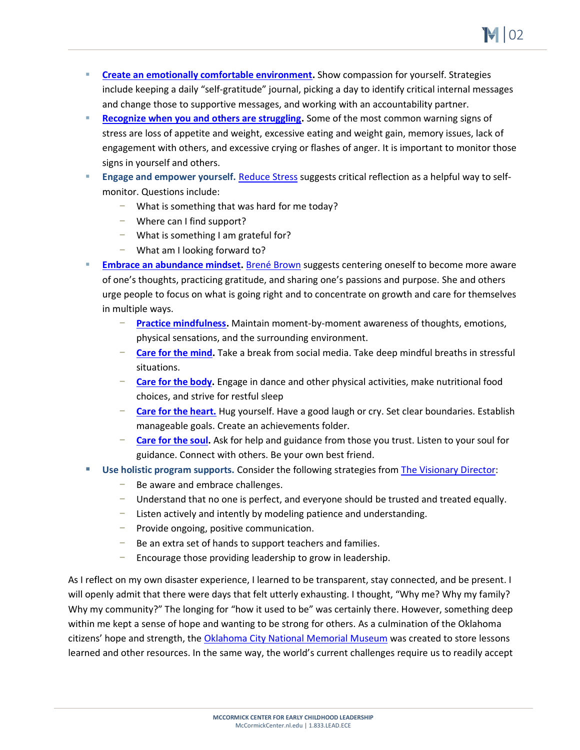▪ **[Create an emotionally comfortable environment.](https://ccie-catalog.s3.amazonaws.com/library/5025116.pdf)** Show compassion for yourself. Strategies include keeping a daily "self-gratitude" journal, picking a day to identify critical internal messages and change those to supportive messages, and working with an accountability partner.

. |02

- **[Recognize when you and others are struggling.](https://www.nami.org/About-Mental-Illness/Warning-Signs-and-Symptoms)** Some of the most common warning signs of stress are loss of appetite and weight, excessive eating and weight gain, memory issues, lack of engagement with others, and excessive crying or flashes of anger. It is important to monitor those signs in yourself and others.
- **Engage and empower yourself.** [Reduce Stress](https://www.psychologytoday.com/us/blog/evidence-based-living/202004/reduce-stress-and-anxiety-levels-journaling) suggests critical reflection as a helpful way to selfmonitor. Questions include:
	- − What is something that was hard for me today?
	- − Where can I find support?
	- − What is something I am grateful for?
	- − What am I looking forward to?
- [Embrace an abundance mindset.](https://brenebrown.com/book/dare-to-lead/) [Brené Brown](https://brenebrown.com/book/dare-to-lead/) suggests centering oneself to become more aware of one's thoughts, practicing gratitude, and sharing one's passions and purpose. She and others urge people to focus on what is going right and to concentrate on growth and care for themselves in multiple ways.
	- − **[Practice mindfulness.](https://www.healthline.com/health/mind-body/mindfulness-activities#for-adults)** Maintain moment-by-moment awareness of thoughts, emotions, physical sensations, and the surrounding environment.
	- **[Care for the mind.](https://www.thirteenthoughts.com/self-care-practices-for-the-mind/)** Take a break from social media. Take deep mindful breaths in stressful situations.
	- **[Care for the body.](https://www.verywellmind.com/why-you-should-take-care-of-your-body-and-your-health-3145077)** Engage in dance and other physical activities, make nutritional food choices, and strive for restful sleep
	- **[Care for the heart.](https://www.heart.org/en/healthy-living/healthy-lifestyle/mental-health-and-wellbeing/thankfulness-how-gratitude-can-help-your-health)** Hug yourself. Have a good laugh or cry. Set clear boundaries. Establish manageable goals. Create an achievements folder.
	- **[Care for the soul.](https://mccormickcenter.nl.edu/library/preparing_for_possibilities/)** Ask for help and guidance from those you trust. Listen to your soul for guidance. Connect with others. Be your own best friend.
- **Use holistic program supports. Consider the following strategies fro[m The Visionary Director:](https://www.redleafpress.org/The-Visionary-Director-A-Handbook-for-Dreaming-Organizing-and-Improvising-in-Your-Center-Third-Edition-P2552.aspx)** 
	- − Be aware and embrace challenges.
	- Understand that no one is perfect, and everyone should be trusted and treated equally.
	- − Listen actively and intently by modeling patience and understanding.
	- − Provide ongoing, positive communication.
	- − Be an extra set of hands to support teachers and families.
	- Encourage those providing leadership to grow in leadership.

As I reflect on my own disaster experience, I learned to be transparent, stay connected, and be present. I will openly admit that there were days that felt utterly exhausting. I thought, "Why me? Why my family? Why my community?" The longing for "how it used to be" was certainly there. However, something deep within me kept a sense of hope and wanting to be strong for others. As a culmination of the Oklahoma citizens' hope and strength, the [Oklahoma City National Memorial Museum](https://memorialmuseum.com/experience/lessons-learned/) was created to store lessons learned and other resources. In the same way, the world's current challenges require us to readily accept